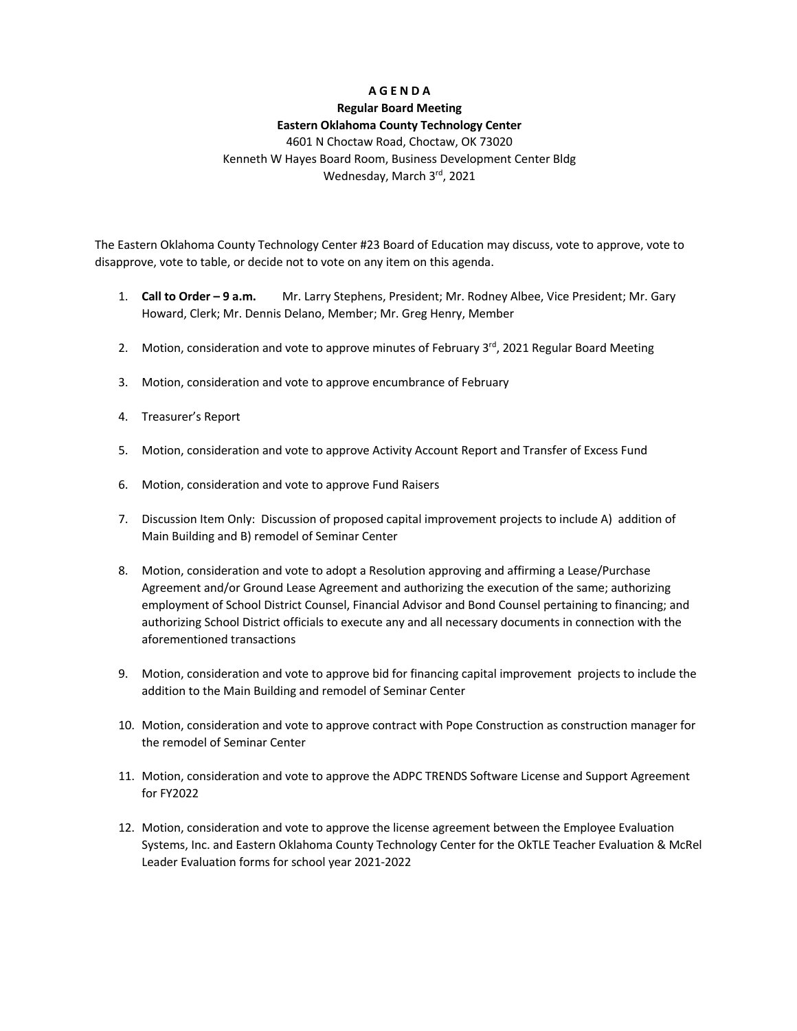## **A G E N D A**

# **Regular Board Meeting**

## **Eastern Oklahoma County Technology Center**

4601 N Choctaw Road, Choctaw, OK 73020 Kenneth W Hayes Board Room, Business Development Center Bldg Wednesday, March 3rd, 2021

The Eastern Oklahoma County Technology Center #23 Board of Education may discuss, vote to approve, vote to disapprove, vote to table, or decide not to vote on any item on this agenda.

- 1. **Call to Order – 9 a.m.** Mr. Larry Stephens, President; Mr. Rodney Albee, Vice President; Mr. Gary Howard, Clerk; Mr. Dennis Delano, Member; Mr. Greg Henry, Member
- 2. Motion, consideration and vote to approve minutes of February  $3^{rd}$ , 2021 Regular Board Meeting
- 3. Motion, consideration and vote to approve encumbrance of February
- 4. Treasurer's Report
- 5. Motion, consideration and vote to approve Activity Account Report and Transfer of Excess Fund
- 6. Motion, consideration and vote to approve Fund Raisers
- 7. Discussion Item Only: Discussion of proposed capital improvement projects to include A) addition of Main Building and B) remodel of Seminar Center
- 8. Motion, consideration and vote to adopt a Resolution approving and affirming a Lease/Purchase Agreement and/or Ground Lease Agreement and authorizing the execution of the same; authorizing employment of School District Counsel, Financial Advisor and Bond Counsel pertaining to financing; and authorizing School District officials to execute any and all necessary documents in connection with the aforementioned transactions
- 9. Motion, consideration and vote to approve bid for financing capital improvement projects to include the addition to the Main Building and remodel of Seminar Center
- 10. Motion, consideration and vote to approve contract with Pope Construction as construction manager for the remodel of Seminar Center
- 11. Motion, consideration and vote to approve the ADPC TRENDS Software License and Support Agreement for FY2022
- 12. Motion, consideration and vote to approve the license agreement between the Employee Evaluation Systems, Inc. and Eastern Oklahoma County Technology Center for the OkTLE Teacher Evaluation & McRel Leader Evaluation forms for school year 2021-2022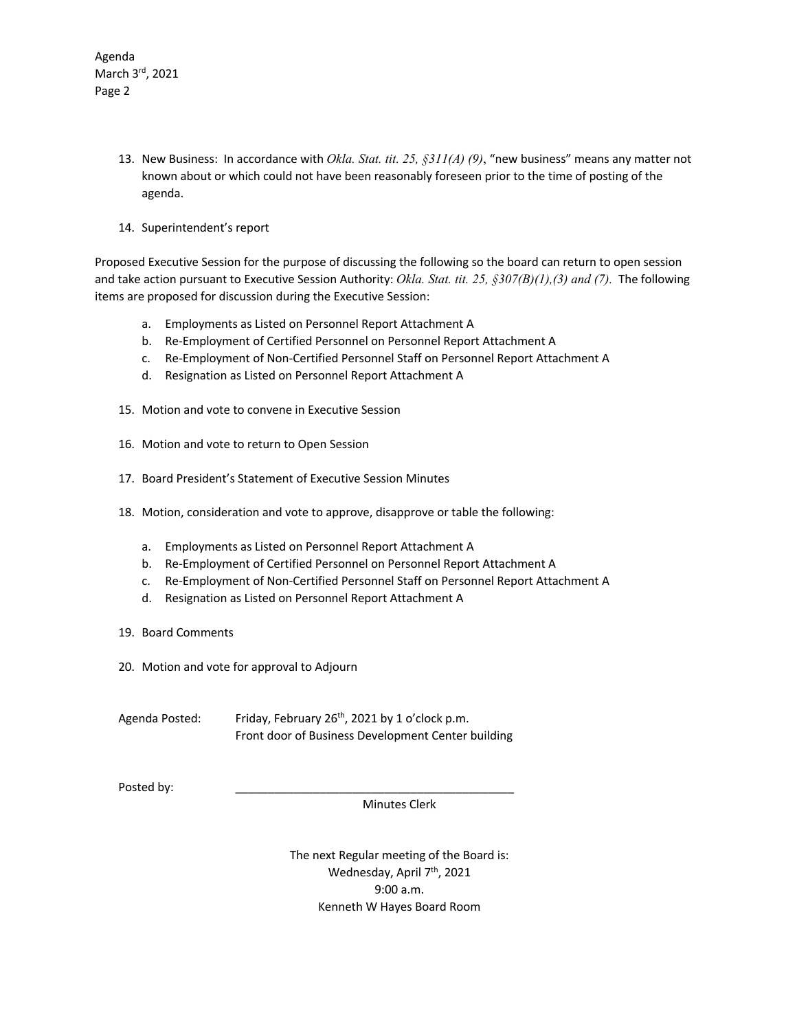Agenda March 3rd, 2021 Page 2

- 13. New Business: In accordance with *Okla. Stat. tit. 25, §311(A) (9)*, "new business" means any matter not known about or which could not have been reasonably foreseen prior to the time of posting of the agenda.
- 14. Superintendent's report

Proposed Executive Session for the purpose of discussing the following so the board can return to open session and take action pursuant to Executive Session Authority: *Okla. Stat. tit. 25, §307(B)(1),(3) and (7).* The following items are proposed for discussion during the Executive Session:

- a. Employments as Listed on Personnel Report Attachment A
- b. Re-Employment of Certified Personnel on Personnel Report Attachment A
- c. Re-Employment of Non-Certified Personnel Staff on Personnel Report Attachment A
- d. Resignation as Listed on Personnel Report Attachment A
- 15. Motion and vote to convene in Executive Session
- 16. Motion and vote to return to Open Session
- 17. Board President's Statement of Executive Session Minutes
- 18. Motion, consideration and vote to approve, disapprove or table the following:
	- a. Employments as Listed on Personnel Report Attachment A
	- b. Re-Employment of Certified Personnel on Personnel Report Attachment A
	- c. Re-Employment of Non-Certified Personnel Staff on Personnel Report Attachment A
	- d. Resignation as Listed on Personnel Report Attachment A
- 19. Board Comments
- 20. Motion and vote for approval to Adjourn
- Agenda Posted: Friday, February 26<sup>th</sup>, 2021 by 1 o'clock p.m. Front door of Business Development Center building

Posted by:

Minutes Clerk

The next Regular meeting of the Board is: Wednesday, April 7<sup>th</sup>, 2021 9:00 a.m. Kenneth W Hayes Board Room